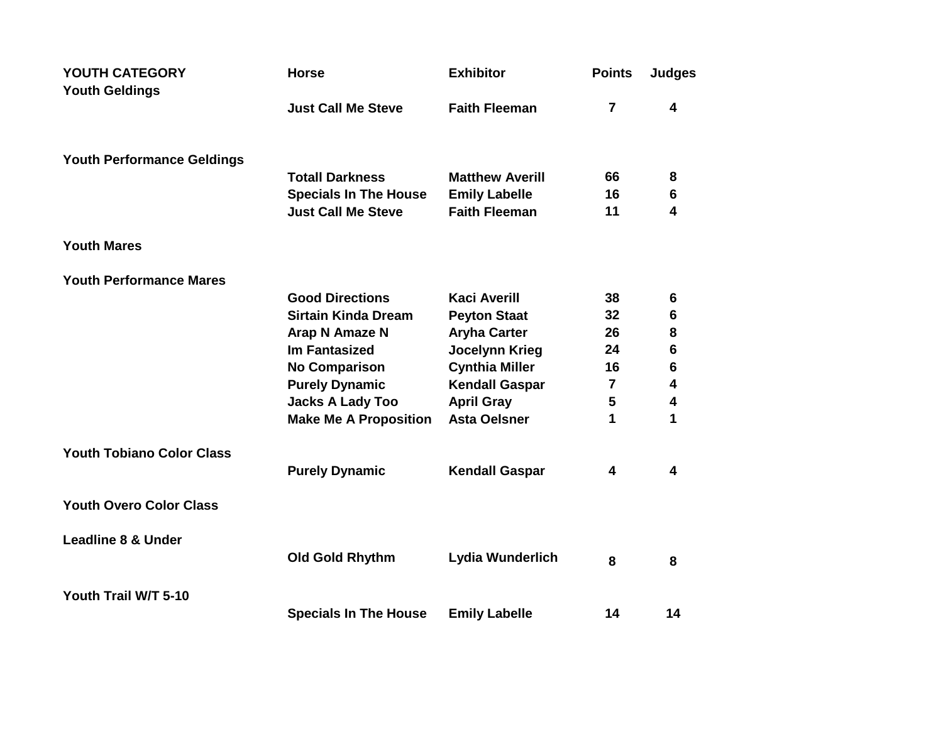| YOUTH CATEGORY                    | <b>Horse</b>                 | <b>Exhibitor</b>       | <b>Points</b>  | <b>Judges</b>           |
|-----------------------------------|------------------------------|------------------------|----------------|-------------------------|
| <b>Youth Geldings</b>             | <b>Just Call Me Steve</b>    | <b>Faith Fleeman</b>   | $\overline{7}$ | 4                       |
| <b>Youth Performance Geldings</b> |                              |                        |                |                         |
|                                   | <b>Totall Darkness</b>       | <b>Matthew Averill</b> | 66             | 8                       |
|                                   | <b>Specials In The House</b> | <b>Emily Labelle</b>   | 16             | 6                       |
|                                   | <b>Just Call Me Steve</b>    | <b>Faith Fleeman</b>   | 11             | 4                       |
| <b>Youth Mares</b>                |                              |                        |                |                         |
| <b>Youth Performance Mares</b>    |                              |                        |                |                         |
|                                   | <b>Good Directions</b>       | <b>Kaci Averill</b>    | 38             | 6                       |
|                                   | <b>Sirtain Kinda Dream</b>   | <b>Peyton Staat</b>    | 32             | 6                       |
|                                   | Arap N Amaze N               | <b>Aryha Carter</b>    | 26             | 8                       |
|                                   | <b>Im Fantasized</b>         | <b>Jocelynn Krieg</b>  | 24             | $6\phantom{1}6$         |
|                                   | <b>No Comparison</b>         | <b>Cynthia Miller</b>  | 16             | $6\phantom{1}6$         |
|                                   | <b>Purely Dynamic</b>        | <b>Kendall Gaspar</b>  | 7              | $\overline{\mathbf{4}}$ |
|                                   | <b>Jacks A Lady Too</b>      | <b>April Gray</b>      | 5              | $\overline{\mathbf{4}}$ |
|                                   | <b>Make Me A Proposition</b> | <b>Asta Oelsner</b>    | 1              | 1                       |
| <b>Youth Tobiano Color Class</b>  |                              |                        |                |                         |
|                                   | <b>Purely Dynamic</b>        | <b>Kendall Gaspar</b>  | 4              | 4                       |
| <b>Youth Overo Color Class</b>    |                              |                        |                |                         |
| <b>Leadline 8 &amp; Under</b>     |                              |                        |                |                         |
|                                   | <b>Old Gold Rhythm</b>       | Lydia Wunderlich       | 8              | 8                       |
| Youth Trail W/T 5-10              |                              |                        |                |                         |
|                                   | <b>Specials In The House</b> | <b>Emily Labelle</b>   | 14             | 14                      |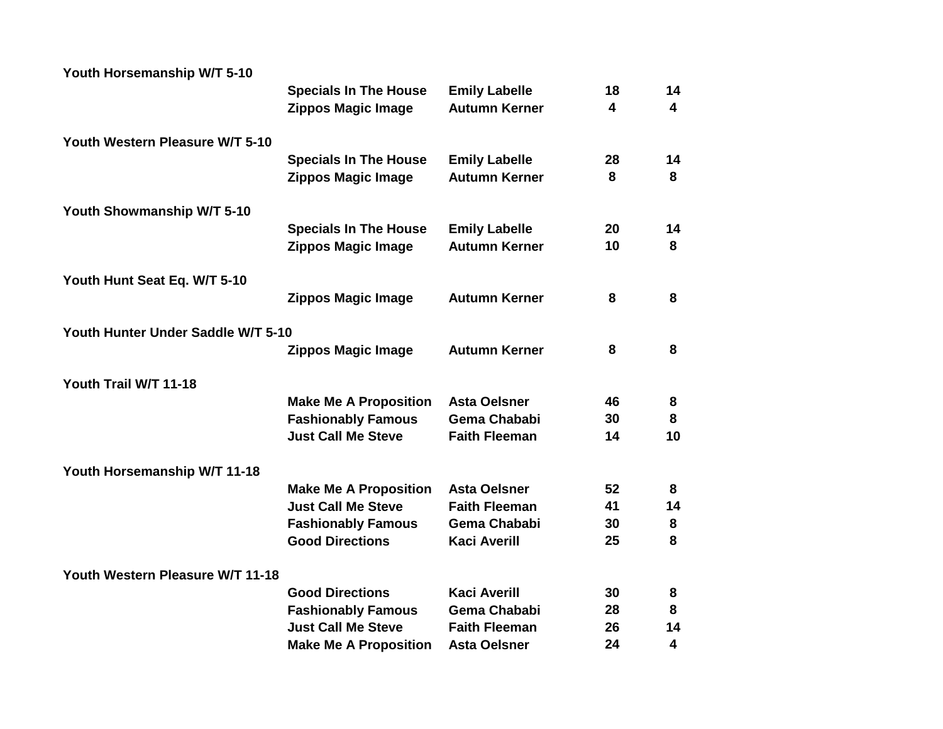| Youth Horsemanship W/T 5-10        |                              |                      |                         |                         |
|------------------------------------|------------------------------|----------------------|-------------------------|-------------------------|
|                                    | <b>Specials In The House</b> | <b>Emily Labelle</b> | 18                      | 14                      |
|                                    | <b>Zippos Magic Image</b>    | <b>Autumn Kerner</b> | $\overline{\mathbf{4}}$ | $\overline{\mathbf{4}}$ |
| Youth Western Pleasure W/T 5-10    |                              |                      |                         |                         |
|                                    | <b>Specials In The House</b> | <b>Emily Labelle</b> | 28                      | 14                      |
|                                    | <b>Zippos Magic Image</b>    | <b>Autumn Kerner</b> | 8                       | 8                       |
| Youth Showmanship W/T 5-10         |                              |                      |                         |                         |
|                                    | <b>Specials In The House</b> | <b>Emily Labelle</b> | 20                      | 14                      |
|                                    | <b>Zippos Magic Image</b>    | <b>Autumn Kerner</b> | 10                      | 8                       |
| Youth Hunt Seat Eq. W/T 5-10       |                              |                      |                         |                         |
|                                    | <b>Zippos Magic Image</b>    | <b>Autumn Kerner</b> | 8                       | 8                       |
| Youth Hunter Under Saddle W/T 5-10 |                              |                      |                         |                         |
|                                    | <b>Zippos Magic Image</b>    | <b>Autumn Kerner</b> | 8                       | 8                       |
| Youth Trail W/T 11-18              |                              |                      |                         |                         |
|                                    | <b>Make Me A Proposition</b> | <b>Asta Oelsner</b>  | 46                      | 8                       |
|                                    | <b>Fashionably Famous</b>    | <b>Gema Chababi</b>  | 30                      | 8                       |
|                                    | <b>Just Call Me Steve</b>    | <b>Faith Fleeman</b> | 14                      | 10                      |
| Youth Horsemanship W/T 11-18       |                              |                      |                         |                         |
|                                    | <b>Make Me A Proposition</b> | <b>Asta Oelsner</b>  | 52                      | 8                       |
|                                    | <b>Just Call Me Steve</b>    | <b>Faith Fleeman</b> | 41                      | 14                      |
|                                    | <b>Fashionably Famous</b>    | <b>Gema Chababi</b>  | 30                      | 8                       |
|                                    | <b>Good Directions</b>       | <b>Kaci Averill</b>  | 25                      | 8                       |
| Youth Western Pleasure W/T 11-18   |                              |                      |                         |                         |
|                                    | <b>Good Directions</b>       | <b>Kaci Averill</b>  | 30                      | 8                       |
|                                    | <b>Fashionably Famous</b>    | <b>Gema Chababi</b>  | 28                      | 8                       |
|                                    | <b>Just Call Me Steve</b>    | <b>Faith Fleeman</b> | 26                      | 14                      |
|                                    | <b>Make Me A Proposition</b> | <b>Asta Oelsner</b>  | 24                      | 4                       |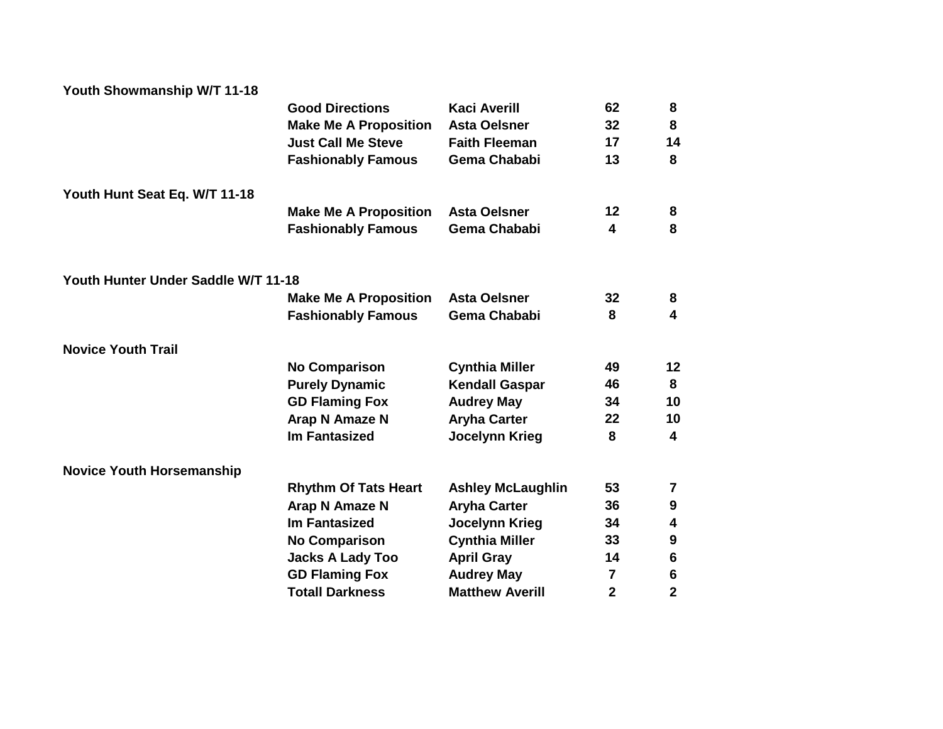| Youth Showmanship W/T 11-18         |                              |                          |                |                         |
|-------------------------------------|------------------------------|--------------------------|----------------|-------------------------|
|                                     | <b>Good Directions</b>       | <b>Kaci Averill</b>      | 62             | 8                       |
|                                     | <b>Make Me A Proposition</b> | <b>Asta Oelsner</b>      | 32             | 8                       |
|                                     | <b>Just Call Me Steve</b>    | <b>Faith Fleeman</b>     | 17             | 14                      |
|                                     | <b>Fashionably Famous</b>    | <b>Gema Chababi</b>      | 13             | 8                       |
| Youth Hunt Seat Eq. W/T 11-18       |                              |                          |                |                         |
|                                     | <b>Make Me A Proposition</b> | <b>Asta Oelsner</b>      | 12             | 8                       |
|                                     | <b>Fashionably Famous</b>    | <b>Gema Chababi</b>      | 4              | 8                       |
| Youth Hunter Under Saddle W/T 11-18 |                              |                          |                |                         |
|                                     | <b>Make Me A Proposition</b> | <b>Asta Oelsner</b>      | 32             | 8                       |
|                                     | <b>Fashionably Famous</b>    | <b>Gema Chababi</b>      | 8              | $\overline{\mathbf{4}}$ |
| <b>Novice Youth Trail</b>           |                              |                          |                |                         |
|                                     | <b>No Comparison</b>         | <b>Cynthia Miller</b>    | 49             | 12                      |
|                                     | <b>Purely Dynamic</b>        | <b>Kendall Gaspar</b>    | 46             | 8                       |
|                                     | <b>GD Flaming Fox</b>        | <b>Audrey May</b>        | 34             | 10                      |
|                                     | <b>Arap N Amaze N</b>        | <b>Aryha Carter</b>      | 22             | 10                      |
|                                     | <b>Im Fantasized</b>         | Jocelynn Krieg           | 8              | $\overline{\mathbf{4}}$ |
| <b>Novice Youth Horsemanship</b>    |                              |                          |                |                         |
|                                     | <b>Rhythm Of Tats Heart</b>  | <b>Ashley McLaughlin</b> | 53             | 7                       |
|                                     | Arap N Amaze N               | <b>Aryha Carter</b>      | 36             | 9                       |
|                                     | <b>Im Fantasized</b>         | <b>Jocelynn Krieg</b>    | 34             | 4                       |
|                                     | <b>No Comparison</b>         | <b>Cynthia Miller</b>    | 33             | $\boldsymbol{9}$        |
|                                     | <b>Jacks A Lady Too</b>      | <b>April Gray</b>        | 14             | 6                       |
|                                     | <b>GD Flaming Fox</b>        | <b>Audrey May</b>        | 7              | $\boldsymbol{6}$        |
|                                     | <b>Totall Darkness</b>       | <b>Matthew Averill</b>   | $\overline{2}$ | $\overline{2}$          |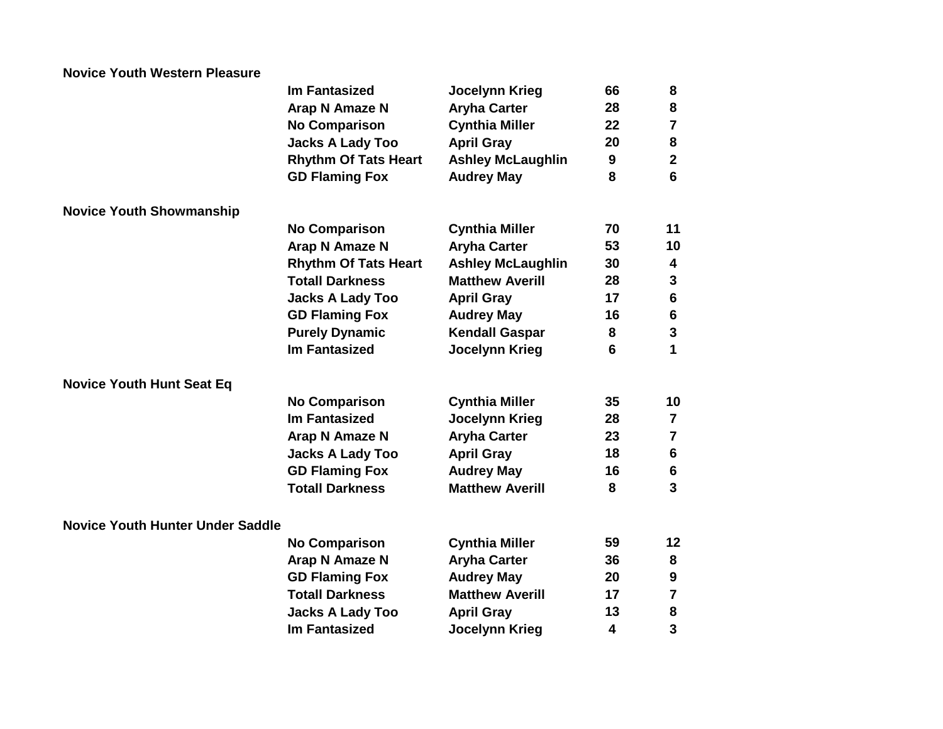| <b>Novice Youth Western Pleasure</b>    |                             |                          |                         |                         |
|-----------------------------------------|-----------------------------|--------------------------|-------------------------|-------------------------|
|                                         | <b>Im Fantasized</b>        | <b>Jocelynn Krieg</b>    | 66                      | 8                       |
|                                         | Arap N Amaze N              | <b>Aryha Carter</b>      | 28                      | ${\bf 8}$               |
|                                         | <b>No Comparison</b>        | <b>Cynthia Miller</b>    | 22                      | $\overline{7}$          |
|                                         | <b>Jacks A Lady Too</b>     | <b>April Gray</b>        | 20                      | $\pmb{8}$               |
|                                         | <b>Rhythm Of Tats Heart</b> | <b>Ashley McLaughlin</b> | 9                       | $\mathbf{2}$            |
|                                         | <b>GD Flaming Fox</b>       | <b>Audrey May</b>        | 8                       | $6\phantom{1}6$         |
| <b>Novice Youth Showmanship</b>         |                             |                          |                         |                         |
|                                         | <b>No Comparison</b>        | <b>Cynthia Miller</b>    | 70                      | 11                      |
|                                         | <b>Arap N Amaze N</b>       | <b>Aryha Carter</b>      | 53                      | 10                      |
|                                         | <b>Rhythm Of Tats Heart</b> | <b>Ashley McLaughlin</b> | 30                      | 4                       |
|                                         | <b>Totall Darkness</b>      | <b>Matthew Averill</b>   | 28                      | $\mathbf{3}$            |
|                                         | <b>Jacks A Lady Too</b>     | <b>April Gray</b>        | 17                      | $\bf 6$                 |
|                                         | <b>GD Flaming Fox</b>       | <b>Audrey May</b>        | 16                      | $\bf 6$                 |
|                                         | <b>Purely Dynamic</b>       | <b>Kendall Gaspar</b>    | 8                       | $\mathbf 3$             |
|                                         | <b>Im Fantasized</b>        | <b>Jocelynn Krieg</b>    | 6                       | 1                       |
| <b>Novice Youth Hunt Seat Eq</b>        |                             |                          |                         |                         |
|                                         | <b>No Comparison</b>        | <b>Cynthia Miller</b>    | 35                      | 10                      |
|                                         | <b>Im Fantasized</b>        | <b>Jocelynn Krieg</b>    | 28                      | $\overline{\mathbf{z}}$ |
|                                         | Arap N Amaze N              | <b>Aryha Carter</b>      | 23                      | $\overline{7}$          |
|                                         | <b>Jacks A Lady Too</b>     | <b>April Gray</b>        | 18                      | $\bf 6$                 |
|                                         | <b>GD Flaming Fox</b>       | <b>Audrey May</b>        | 16                      | $6\phantom{1}$          |
|                                         | <b>Totall Darkness</b>      | <b>Matthew Averill</b>   | 8                       | $\overline{\mathbf{3}}$ |
| <b>Novice Youth Hunter Under Saddle</b> |                             |                          |                         |                         |
|                                         | <b>No Comparison</b>        | <b>Cynthia Miller</b>    | 59                      | 12                      |
|                                         | <b>Arap N Amaze N</b>       | <b>Aryha Carter</b>      | 36                      | 8                       |
|                                         | <b>GD Flaming Fox</b>       | <b>Audrey May</b>        | 20                      | $\boldsymbol{9}$        |
|                                         | <b>Totall Darkness</b>      | <b>Matthew Averill</b>   | 17                      | $\overline{7}$          |
|                                         | <b>Jacks A Lady Too</b>     | <b>April Gray</b>        | 13                      | ${\bf 8}$               |
|                                         | <b>Im Fantasized</b>        | <b>Jocelynn Krieg</b>    | $\overline{\mathbf{4}}$ | 3                       |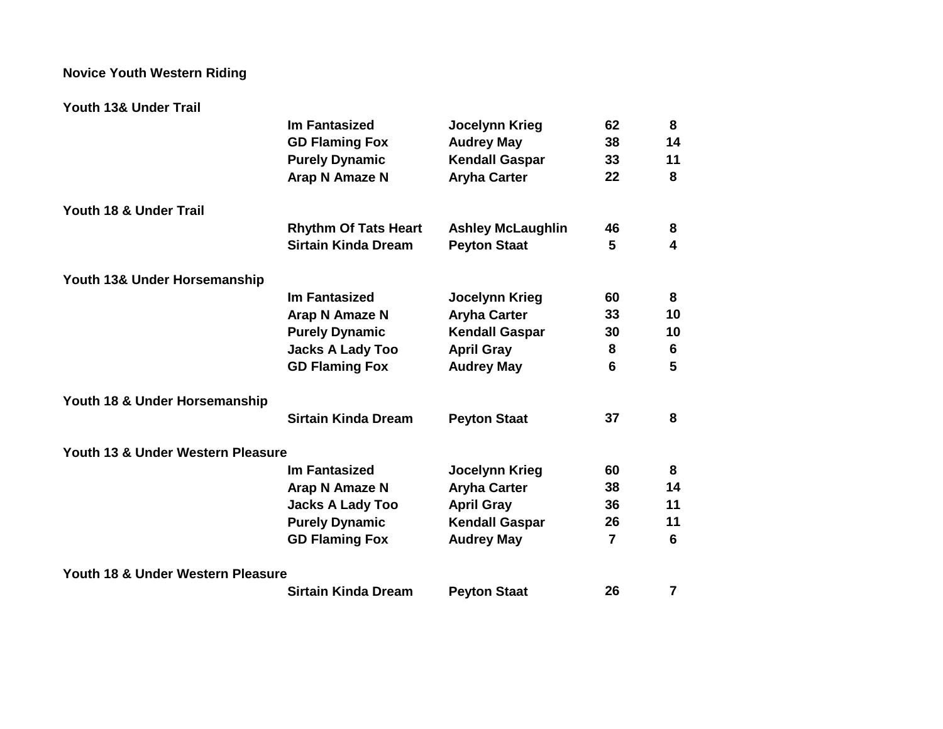## **Novice Youth Western Riding**

## **Youth 13& Under Trail**

|                                   | <b>Im Fantasized</b>        | <b>Jocelynn Krieg</b>    | 62             | 8  |
|-----------------------------------|-----------------------------|--------------------------|----------------|----|
|                                   | <b>GD Flaming Fox</b>       | <b>Audrey May</b>        | 38             | 14 |
|                                   | <b>Purely Dynamic</b>       | <b>Kendall Gaspar</b>    | 33             | 11 |
|                                   | Arap N Amaze N              | <b>Aryha Carter</b>      | 22             | 8  |
| Youth 18 & Under Trail            |                             |                          |                |    |
|                                   | <b>Rhythm Of Tats Heart</b> | <b>Ashley McLaughlin</b> | 46             | 8  |
|                                   | <b>Sirtain Kinda Dream</b>  | <b>Peyton Staat</b>      | 5              | 4  |
| Youth 13& Under Horsemanship      |                             |                          |                |    |
|                                   | <b>Im Fantasized</b>        | <b>Jocelynn Krieg</b>    | 60             | 8  |
|                                   | Arap N Amaze N              | <b>Aryha Carter</b>      | 33             | 10 |
|                                   | <b>Purely Dynamic</b>       | <b>Kendall Gaspar</b>    | 30             | 10 |
|                                   | <b>Jacks A Lady Too</b>     | <b>April Gray</b>        | 8              | 6  |
|                                   | <b>GD Flaming Fox</b>       | <b>Audrey May</b>        | 6              | 5  |
| Youth 18 & Under Horsemanship     |                             |                          |                |    |
|                                   | <b>Sirtain Kinda Dream</b>  | <b>Peyton Staat</b>      | 37             | 8  |
| Youth 13 & Under Western Pleasure |                             |                          |                |    |
|                                   | Im Fantasized               | Jocelynn Krieg           | 60             | 8  |
|                                   | Arap N Amaze N              | <b>Aryha Carter</b>      | 38             | 14 |
|                                   | <b>Jacks A Lady Too</b>     | <b>April Gray</b>        | 36             | 11 |
|                                   | <b>Purely Dynamic</b>       | <b>Kendall Gaspar</b>    | 26             | 11 |
|                                   | <b>GD Flaming Fox</b>       | <b>Audrey May</b>        | $\overline{7}$ | 6  |
| Youth 18 & Under Western Pleasure |                             |                          |                |    |
|                                   | <b>Sirtain Kinda Dream</b>  | <b>Peyton Staat</b>      | 26             | 7  |